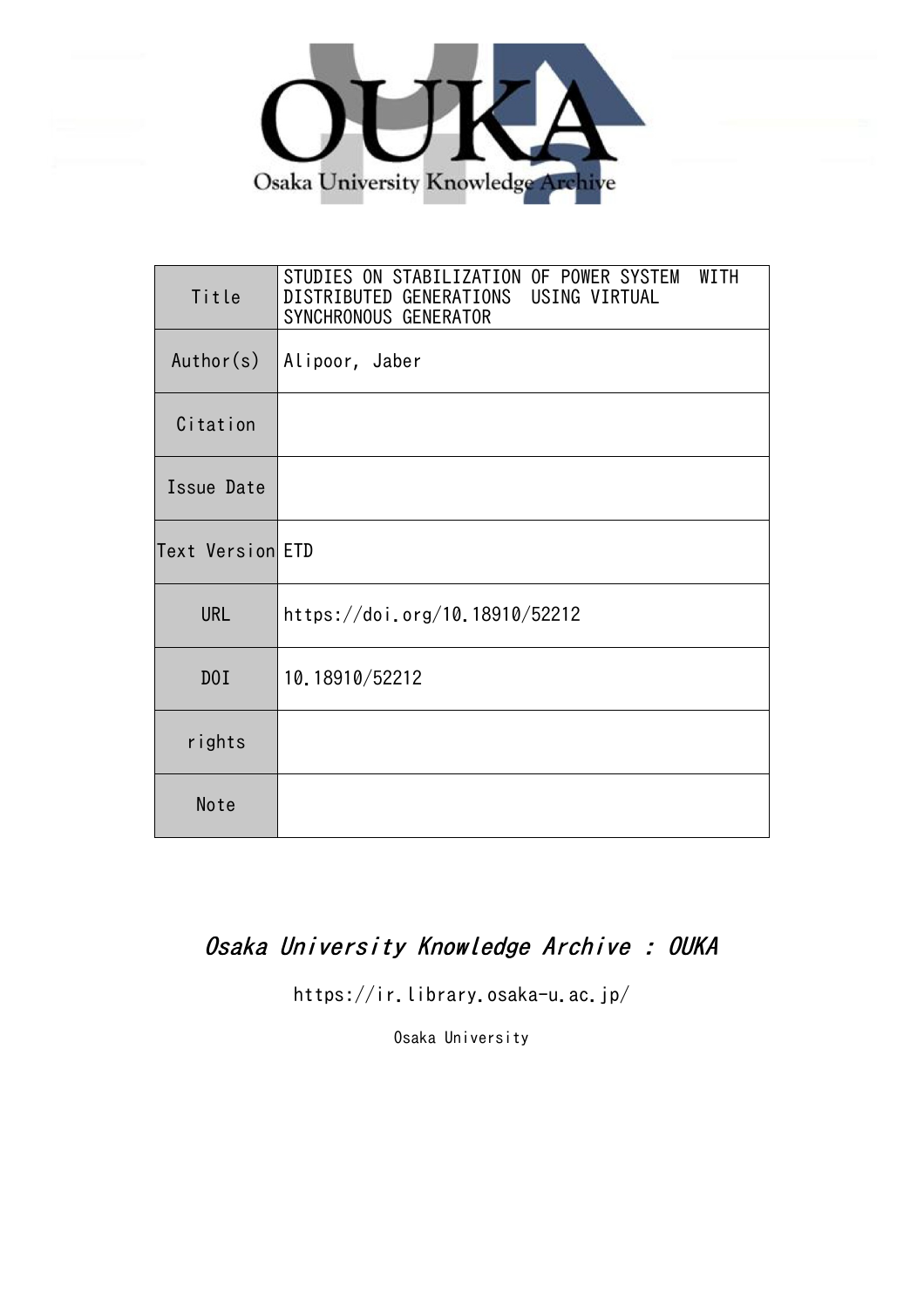

| Title            | WITH<br>STUDIES ON STABILIZATION OF POWER SYSTEM<br>DISTRIBUTED GENERATIONS USING VIRTUAL<br>SYNCHRONOUS GENERATOR |
|------------------|--------------------------------------------------------------------------------------------------------------------|
| Author(s)        | Alipoor, Jaber                                                                                                     |
| Citation         |                                                                                                                    |
| Issue Date       |                                                                                                                    |
| Text Version ETD |                                                                                                                    |
| <b>URL</b>       | https://doi.org/10.18910/52212                                                                                     |
| DOI              | 10.18910/52212                                                                                                     |
| rights           |                                                                                                                    |
| Note             |                                                                                                                    |

## Osaka University Knowledge Archive : OUKA

https://ir.library.osaka-u.ac.jp/

Osaka University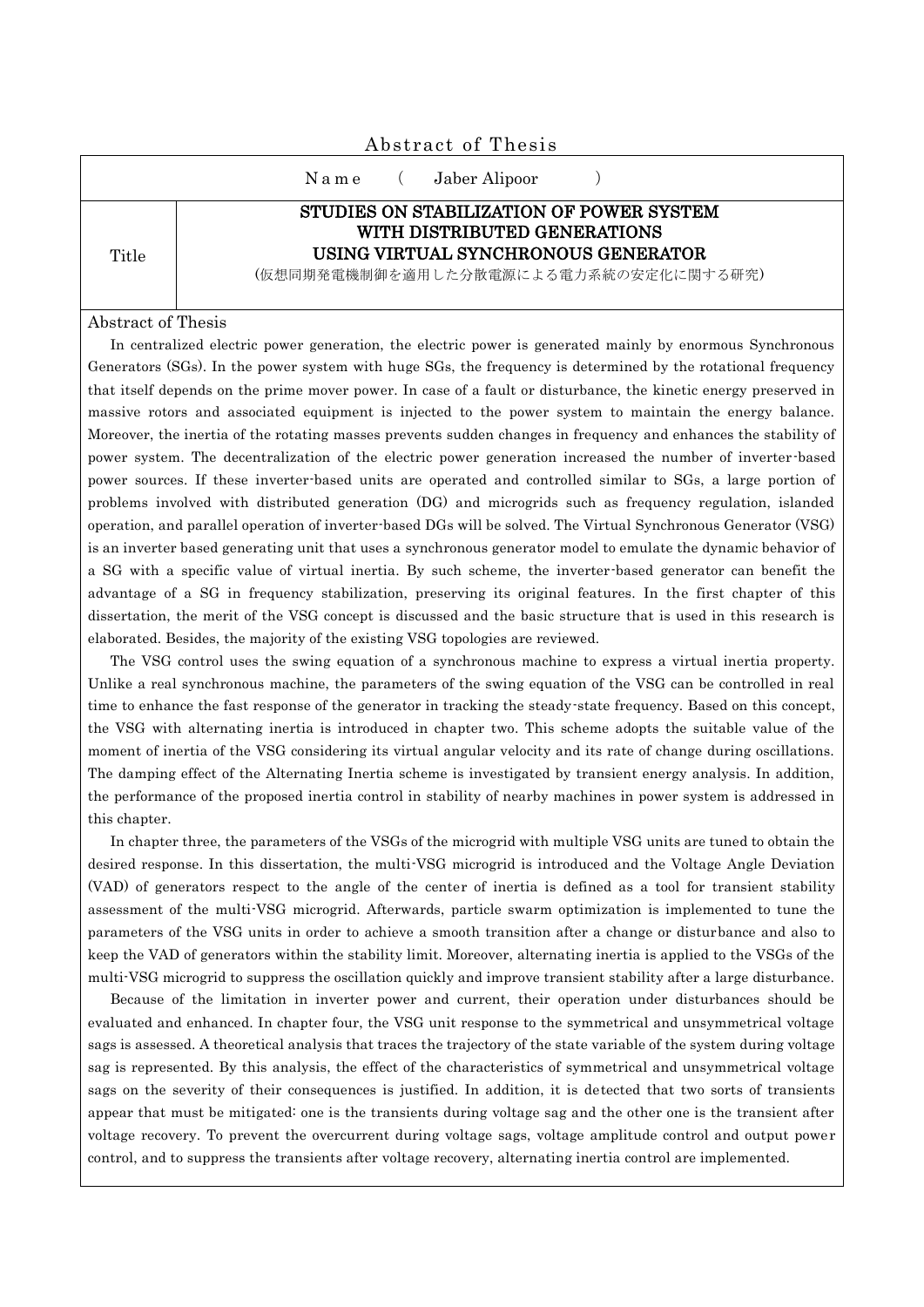| Abstract of Thesis |                                                                                                                                                          |  |  |  |  |  |  |  |
|--------------------|----------------------------------------------------------------------------------------------------------------------------------------------------------|--|--|--|--|--|--|--|
|                    | Jaber Alipoor<br>Name (                                                                                                                                  |  |  |  |  |  |  |  |
| Title              | STUDIES ON STABILIZATION OF POWER SYSTEM<br>WITH DISTRIBUTED GENERATIONS<br>USING VIRTUAL SYNCHRONOUS GENERATOR<br>(仮想同期発電機制御を適用した分散電源による電力系統の安定化に関する研究) |  |  |  |  |  |  |  |

## Abstract of Thesis

In centralized electric power generation, the electric power is generated mainly by enormous Synchronous Generators (SGs). In the power system with huge SGs, the frequency is determined by the rotational frequency that itself depends on the prime mover power. In case of a fault or disturbance, the kinetic energy preserved in massive rotors and associated equipment is injected to the power system to maintain the energy balance. Moreover, the inertia of the rotating masses prevents sudden changes in frequency and enhances the stability of power system. The decentralization of the electric power generation increased the number of inverter -based power sources. If these inverter-based units are operated and controlled similar to SGs, a large portion of problems involved with distributed generation (DG) and microgrids such as frequency regulation, islanded operation, and parallel operation of inverter-based DGs will be solved. The Virtual Synchronous Generator (VSG) is an inverter based generating unit that uses a synchronous generator model to emulate the dynamic behavior of a SG with a specific value of virtual inertia. By such scheme, the inverter-based generator can benefit the advantage of a SG in frequency stabilization, preserving its original features. In the first chapter of this dissertation, the merit of the VSG concept is discussed and the basic structure that is used in this research is elaborated. Besides, the majority of the existing VSG topologies are reviewed.

The VSG control uses the swing equation of a synchronous machine to express a virtual inertia property. Unlike a real synchronous machine, the parameters of the swing equation of the VSG can be controlled in real time to enhance the fast response of the generator in tracking the steady-state frequency. Based on this concept, the VSG with alternating inertia is introduced in chapter two. This scheme adopts the suitable value of the moment of inertia of the VSG considering its virtual angular velocity and its rate of change during oscillations. The damping effect of the Alternating Inertia scheme is investigated by transient energy analysis. In addition, the performance of the proposed inertia control in stability of nearby machines in power system is addressed in this chapter.

In chapter three, the parameters of the VSGs of the microgrid with multiple VSG units are tuned to obtain the desired response. In this dissertation, the multi-VSG microgrid is introduced and the Voltage Angle Deviation (VAD) of generators respect to the angle of the center of inertia is defined as a tool for transient stability assessment of the multi-VSG microgrid. Afterwards, particle swarm optimization is implemented to tune the parameters of the VSG units in order to achieve a smooth transition after a change or disturbance and also to keep the VAD of generators within the stability limit. Moreover, alternating inertia is applied to the VSGs of the multi-VSG microgrid to suppress the oscillation quickly and improve transient stability after a large disturbance.

Because of the limitation in inverter power and current, their operation under disturbances should be evaluated and enhanced. In chapter four, the VSG unit response to the symmetrical and unsymmetrical voltage sags is assessed. A theoretical analysis that traces the trajectory of the state variable of the system during voltage sag is represented. By this analysis, the effect of the characteristics of symmetrical and unsymmetrical voltage sags on the severity of their consequences is justified. In addition, it is detected that two sorts of transients appear that must be mitigated: one is the transients during voltage sag and the other one is the transient after voltage recovery. To prevent the overcurrent during voltage sags, voltage amplitude control and output powe r control, and to suppress the transients after voltage recovery, alternating inertia control are implemented.